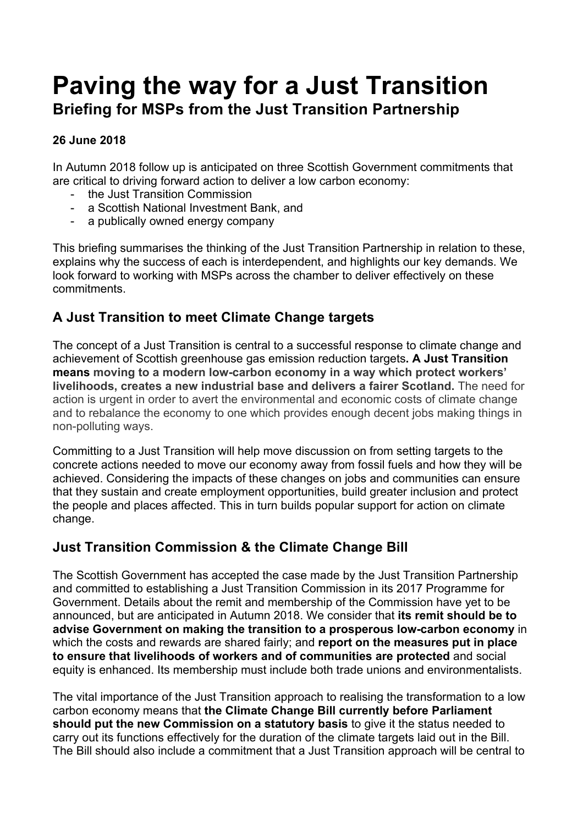# **Paving the way for a Just Transition Briefing for MSPs from the Just Transition Partnership**

#### **26 June 2018**

In Autumn 2018 follow up is anticipated on three Scottish Government commitments that are critical to driving forward action to deliver a low carbon economy:

- the Just Transition Commission
- a Scottish National Investment Bank, and
- a publically owned energy company

This briefing summarises the thinking of the Just Transition Partnership in relation to these, explains why the success of each is interdependent, and highlights our key demands. We look forward to working with MSPs across the chamber to deliver effectively on these commitments.

# **A Just Transition to meet Climate Change targets**

The concept of a Just Transition is central to a successful response to climate change and achievement of Scottish greenhouse gas emission reduction targets**. A Just Transition means moving to a modern low-carbon economy in a way which protect workers' livelihoods, creates a new industrial base and delivers a fairer Scotland.** The need for action is urgent in order to avert the environmental and economic costs of climate change and to rebalance the economy to one which provides enough decent jobs making things in non-polluting ways.

Committing to a Just Transition will help move discussion on from setting targets to the concrete actions needed to move our economy away from fossil fuels and how they will be achieved. Considering the impacts of these changes on jobs and communities can ensure that they sustain and create employment opportunities, build greater inclusion and protect the people and places affected. This in turn builds popular support for action on climate change.

# **Just Transition Commission & the Climate Change Bill**

The Scottish Government has accepted the case made by the Just Transition Partnership and committed to establishing a Just Transition Commission in its 2017 Programme for Government. Details about the remit and membership of the Commission have yet to be announced, but are anticipated in Autumn 2018. We consider that **its remit should be to advise Government on making the transition to a prosperous low-carbon economy** in which the costs and rewards are shared fairly; and **report on the measures put in place to ensure that livelihoods of workers and of communities are protected** and social equity is enhanced. Its membership must include both trade unions and environmentalists.

The vital importance of the Just Transition approach to realising the transformation to a low carbon economy means that **the Climate Change Bill currently before Parliament should put the new Commission on a statutory basis** to give it the status needed to carry out its functions effectively for the duration of the climate targets laid out in the Bill. The Bill should also include a commitment that a Just Transition approach will be central to